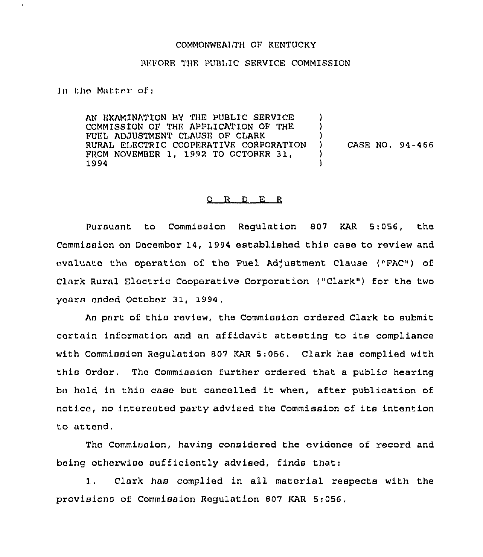## COMMONWEALTH OF KENTUCKY

## REFORE THE PUBLIC SERVICE COMMISSION

ln the Matter of;

AN EXAMINATION BY THE PUBLIC SERVICE COMMISSION OF THE APPLICATION OF THE FUEL ADJUSTMENT CLAUSE OF CLARK RURAL ELECTRIC COOPERATIVE CORPORATION FROM NOVEMBER 1, 1992 TO OCTOBER 31, 1994  $\lambda$ )  $\left\{ \right\}$ ) CASE NO. 94-466 ) )

## 0 R <sup>D</sup> E R

Pursuant to Commission Regulation 807 KAR 5:056, the Commission on December 14, 1994 established this case to review and avaluato tho operation of the Fuel Ad/ustment Clause ("FAC" ) of Clark Rural Electric Cooperative Corporation ("Clark") for the two years ended October 31, 1994,

As part of this review, the Commission ordered Clark to submit cartain information and an affidavit attesting to its compliance with Commission Regulation 807 KAR 5:056. Clark has complied with this Ordor. Tho Commission further ordered that a public hearing bo hold in this case but cancelled it when, after publication of notice, no interested party advised the Commission of its intention to attend.

Tho Commission, having considered the evidence of record and being othorwiso sufficiently advised, finds that:

1. Clark hao complied in all material respects with the provisions of Commission Regulation 807 KAR 5:056.